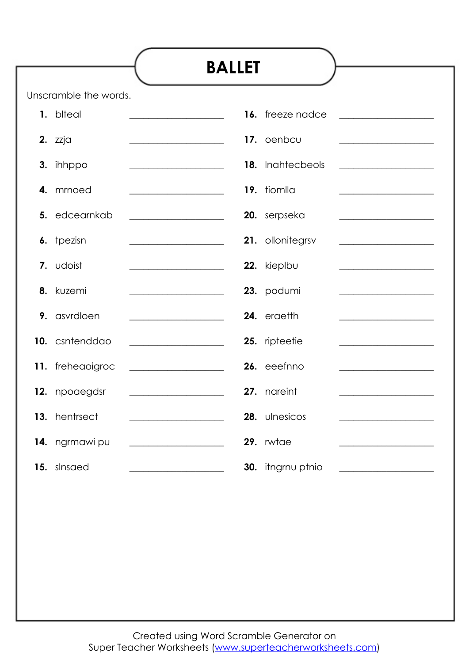|    |                       | <b>BALLET</b>                                                |                   |                                                                            |
|----|-----------------------|--------------------------------------------------------------|-------------------|----------------------------------------------------------------------------|
|    |                       |                                                              |                   |                                                                            |
|    | Unscramble the words. |                                                              |                   |                                                                            |
|    | 1. biteal             | <u> 1980 - Johann Barbara, martxa a</u>                      | 16. freeze nadce  | <u> 1989 - Johann Stein, marwolaethau a bh</u>                             |
|    | 2. zzja               |                                                              | 17. oenbcu        |                                                                            |
| 3. | ihhppo                |                                                              | 18. Inahtecbeols  | <u> 1980 - Johann Barbara, martxa alemaniar a</u>                          |
| 4. | mrnoed                |                                                              | 19. tiomlla       |                                                                            |
|    | 5. edcearnkab         |                                                              | 20. serpseka      | <u> 1990 - Johann Barbara, martin a</u>                                    |
|    | 6. tpezisn            |                                                              | 21. ollonitegrsv  | the control of the control of the control of the control of the            |
|    | 7. udoist             |                                                              | 22. kieplbu       | <u> 1989 - Johann Barn, fransk politik (</u>                               |
| 8. | kuzemi                | <u> 1989 - Jan James James Barnett, martin eta idazlea (</u> | 23. podumi        |                                                                            |
|    | 9. asvrdloen          |                                                              | 24. eraetth       | the control of the control of the control of the control of the control of |
|    | 10. csntenddao        | <u> 1980 - Johann Barnett, fransk politik (</u>              | 25. ripteetie     |                                                                            |
|    | 11. freheaoigroc      |                                                              | 26. eeefnno       |                                                                            |
|    | 12. npoaegdsr         |                                                              | 27. nareint       |                                                                            |
|    | 13. hentrsect         |                                                              | 28. ulnesicos     |                                                                            |
|    | 14. ngrmawi pu        |                                                              | 29. rwtae         |                                                                            |
|    | 15. slnsaed           | <u> 1990 - Johann Barbara, martxa al</u>                     | 30. itngrnu ptnio | <u> 1990 - Johann Barn, mars ann an t-Amhain</u>                           |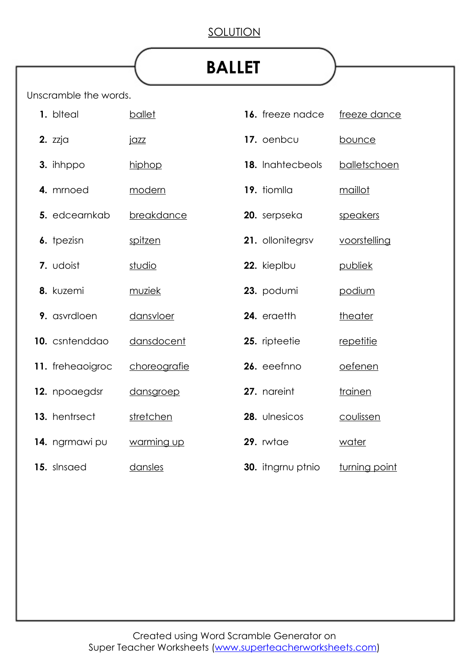## SOLUTION

## **BALLET**

Unscramble the words.

| 1. biteal        | ballet       | 16. freeze nadce  | freeze dance   |
|------------------|--------------|-------------------|----------------|
| $2.$ zzja        | <u>jazz</u>  | 17. oenbcu        | bounce         |
| 3. ihhppo        | hiphop       | 18. Inahtecbeols  | balletschoen   |
| 4. mrnoed        | modern       | 19. tiomlla       | maillot        |
| 5. edcearnkab    | breakdance   | 20. serpseka      | speakers       |
| 6. tpezisn       | spitzen      | 21. ollonitegrsv  | voorstelling   |
| 7. udoist        | studio       | 22. kieplbu       | publiek        |
| 8. kuzemi        | muziek       | 23. podumi        | podium         |
| 9. asvrdloen     | dansvloer    | 24. eraetth       | theater        |
| 10. csntenddao   | dansdocent   | 25. ripteetie     | repetitie      |
| 11. freheaoigroc | choreografie | 26. eeefnno       | oefenen        |
| 12. npoaegdsr    | dansgroep    | 27. nareint       | <b>trainen</b> |
| 13. hentrsect    | stretchen    | 28. ulnesicos     | coulissen      |
| 14. ngrmawi pu   | warming up   | 29. rwtae         | water          |
| 15. slnsaed      | dansles      | 30. itngrnu ptnio | turning point  |